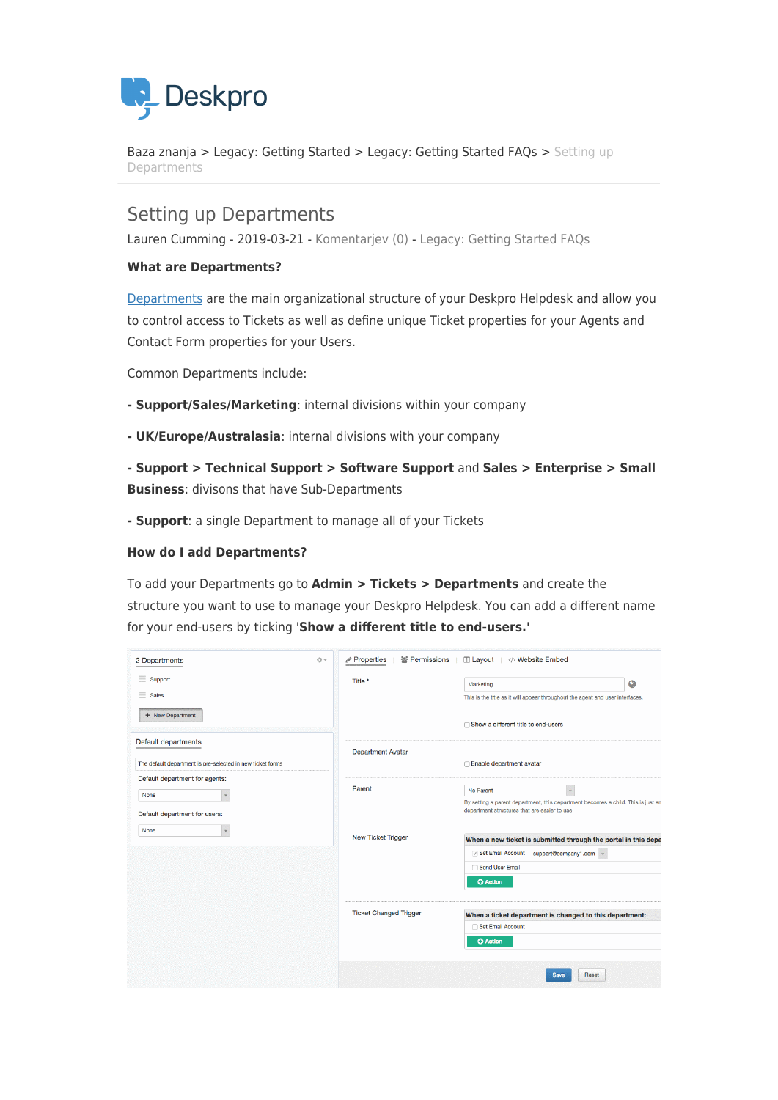

[Baza znanja](https://support.deskpro.com/sl-SI/kb) > [Legacy: Getting Started](https://support.deskpro.com/sl-SI/kb/legacy-getting-started) > [Legacy: Getting Started FAQs](https://support.deskpro.com/sl-SI/kb/legacy-getting-started-faqs) > [Setting up](https://support.deskpro.com/sl-SI/kb/articles/setting-up-departments) [Departments](https://support.deskpro.com/sl-SI/kb/articles/setting-up-departments)

## Setting up Departments

Lauren Cumming - 2019-03-21 - [Komentarjev \(0\)](#page--1-0) - [Legacy: Getting Started FAQs](https://support.deskpro.com/sl-SI/kb/legacy-getting-started-faqs)

## **What are Departments?**

[Departments](https://support.deskpro.com/en/guides/admin-guide/departments-2/departments-overview) are the main organizational structure of your Deskpro Helpdesk and allow you to control access to Tickets as well as define unique Ticket properties for your Agents and Contact Form properties for your Users.

Common Departments include:

- **Support/Sales/Marketing**: internal divisions within your company
- **UK/Europe/Australasia**: internal divisions with your company
- **Support > Technical Support > Software Support** and **Sales > Enterprise > Small Business**: divisons that have Sub-Departments
- **Support**: a single Department to manage all of your Tickets

## **How do I add Departments?**

To add your Departments go to **Admin > Tickets > Departments** and create the structure you want to use to manage your Deskpro Helpdesk. You can add a different name for your end-users by ticking '**Show a different title to end-users.'**

| 2 Departments<br>☆↓                                                                                                                                           | Properties<br>警 Permissions<br>□ Layout    Website Embed |                                                                                                                                   |
|---------------------------------------------------------------------------------------------------------------------------------------------------------------|----------------------------------------------------------|-----------------------------------------------------------------------------------------------------------------------------------|
| $\equiv$ Support                                                                                                                                              | Title *                                                  | $\bullet$<br>Marketing                                                                                                            |
| $=$<br><b>Sales</b>                                                                                                                                           |                                                          | This is the title as it will appear throughout the agent and user interfaces.                                                     |
| + New Department                                                                                                                                              |                                                          | ◯ Show a different title to end-users                                                                                             |
| Default departments                                                                                                                                           | <b>Department Avatar</b>                                 |                                                                                                                                   |
| The default department is pre-selected in new ticket forms<br>Default department for agents:<br>None<br>Default department for users:<br>None<br>$\mathbf{v}$ |                                                          | □ Enable department avatar                                                                                                        |
|                                                                                                                                                               | Parent                                                   | No Parent<br>$\mathbf{v}$                                                                                                         |
|                                                                                                                                                               |                                                          | By setting a parent department, this department becomes a child. This is just an<br>department structures that are easier to use. |
|                                                                                                                                                               | New Ticket Trigger                                       | When a new ticket is submitted through the portal in this depa                                                                    |
|                                                                                                                                                               |                                                          | Set Email Account<br>support@company1.com +                                                                                       |
|                                                                                                                                                               |                                                          | Send User Email                                                                                                                   |
|                                                                                                                                                               |                                                          | <b>O</b> Action                                                                                                                   |
|                                                                                                                                                               | <b>Ticket Changed Trigger</b>                            | When a ticket department is changed to this department:                                                                           |
|                                                                                                                                                               |                                                          | Set Email Account                                                                                                                 |
|                                                                                                                                                               |                                                          | <b>O</b> Action                                                                                                                   |
|                                                                                                                                                               |                                                          | Reset<br><b>Save</b>                                                                                                              |